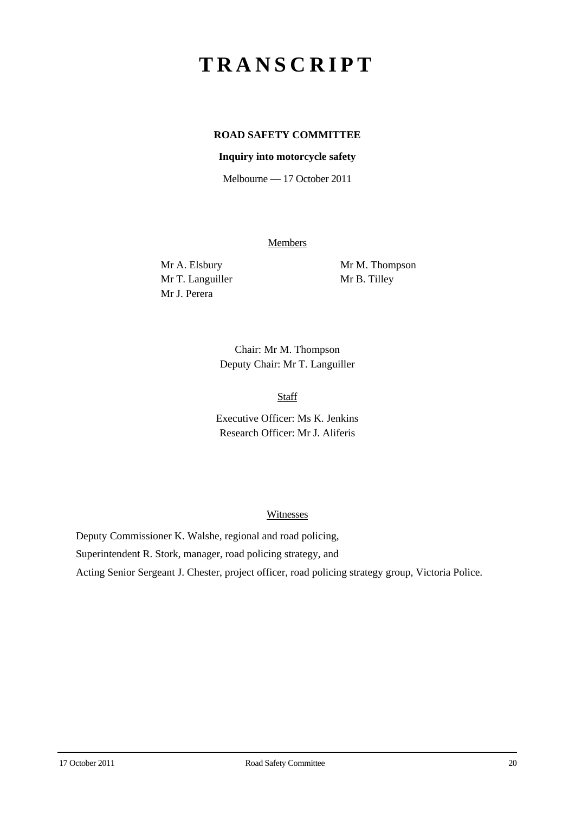# **TRANSCRIPT**

# **ROAD SAFETY COMMITTEE**

## **Inquiry into motorcycle safety**

Melbourne — 17 October 2011

**Members** 

Mr T. Languiller Mr B. Tilley Mr J. Perera

Mr A. Elsbury Mr M. Thompson

Chair: Mr M. Thompson Deputy Chair: Mr T. Languiller

Staff

Executive Officer: Ms K. Jenkins Research Officer: Mr J. Aliferis

#### **Witnesses**

Deputy Commissioner K. Walshe, regional and road policing, Superintendent R. Stork, manager, road policing strategy, and Acting Senior Sergeant J. Chester, project officer, road policing strategy group, Victoria Police.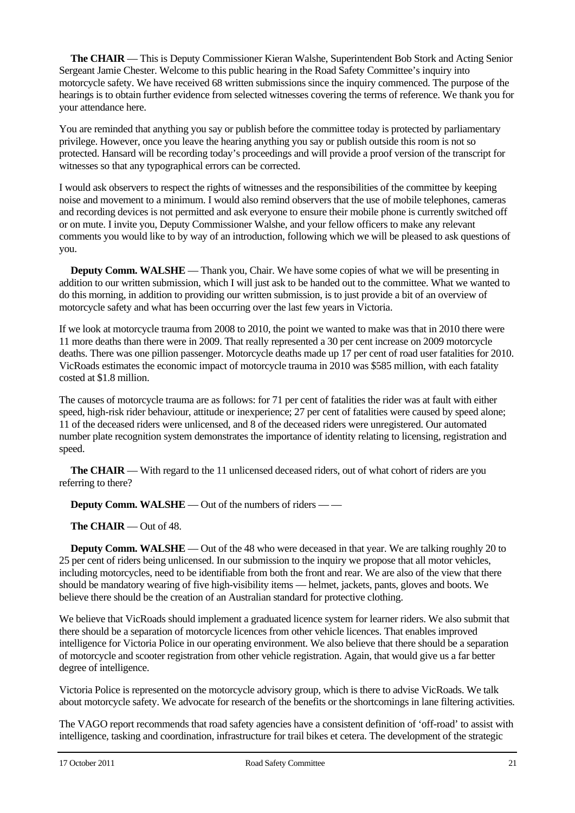**The CHAIR** — This is Deputy Commissioner Kieran Walshe, Superintendent Bob Stork and Acting Senior Sergeant Jamie Chester. Welcome to this public hearing in the Road Safety Committee's inquiry into motorcycle safety. We have received 68 written submissions since the inquiry commenced. The purpose of the hearings is to obtain further evidence from selected witnesses covering the terms of reference. We thank you for your attendance here.

You are reminded that anything you say or publish before the committee today is protected by parliamentary privilege. However, once you leave the hearing anything you say or publish outside this room is not so protected. Hansard will be recording today's proceedings and will provide a proof version of the transcript for witnesses so that any typographical errors can be corrected.

I would ask observers to respect the rights of witnesses and the responsibilities of the committee by keeping noise and movement to a minimum. I would also remind observers that the use of mobile telephones, cameras and recording devices is not permitted and ask everyone to ensure their mobile phone is currently switched off or on mute. I invite you, Deputy Commissioner Walshe, and your fellow officers to make any relevant comments you would like to by way of an introduction, following which we will be pleased to ask questions of you.

**Deputy Comm. WALSHE** — Thank you, Chair. We have some copies of what we will be presenting in addition to our written submission, which I will just ask to be handed out to the committee. What we wanted to do this morning, in addition to providing our written submission, is to just provide a bit of an overview of motorcycle safety and what has been occurring over the last few years in Victoria.

If we look at motorcycle trauma from 2008 to 2010, the point we wanted to make was that in 2010 there were 11 more deaths than there were in 2009. That really represented a 30 per cent increase on 2009 motorcycle deaths. There was one pillion passenger. Motorcycle deaths made up 17 per cent of road user fatalities for 2010. VicRoads estimates the economic impact of motorcycle trauma in 2010 was \$585 million, with each fatality costed at \$1.8 million.

The causes of motorcycle trauma are as follows: for 71 per cent of fatalities the rider was at fault with either speed, high-risk rider behaviour, attitude or inexperience; 27 per cent of fatalities were caused by speed alone; 11 of the deceased riders were unlicensed, and 8 of the deceased riders were unregistered. Our automated number plate recognition system demonstrates the importance of identity relating to licensing, registration and speed.

**The CHAIR** — With regard to the 11 unlicensed deceased riders, out of what cohort of riders are you referring to there?

**Deputy Comm. WALSHE** — Out of the numbers of riders — —

**The CHAIR** — Out of 48.

**Deputy Comm. WALSHE** — Out of the 48 who were deceased in that year. We are talking roughly 20 to 25 per cent of riders being unlicensed. In our submission to the inquiry we propose that all motor vehicles, including motorcycles, need to be identifiable from both the front and rear. We are also of the view that there should be mandatory wearing of five high-visibility items — helmet, jackets, pants, gloves and boots. We believe there should be the creation of an Australian standard for protective clothing.

We believe that VicRoads should implement a graduated licence system for learner riders. We also submit that there should be a separation of motorcycle licences from other vehicle licences. That enables improved intelligence for Victoria Police in our operating environment. We also believe that there should be a separation of motorcycle and scooter registration from other vehicle registration. Again, that would give us a far better degree of intelligence.

Victoria Police is represented on the motorcycle advisory group, which is there to advise VicRoads. We talk about motorcycle safety. We advocate for research of the benefits or the shortcomings in lane filtering activities.

The VAGO report recommends that road safety agencies have a consistent definition of 'off-road' to assist with intelligence, tasking and coordination, infrastructure for trail bikes et cetera. The development of the strategic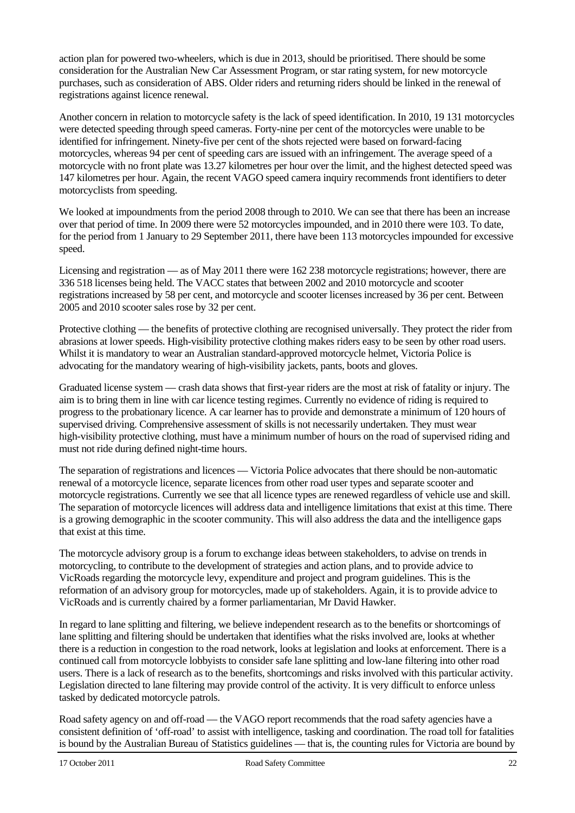action plan for powered two-wheelers, which is due in 2013, should be prioritised. There should be some consideration for the Australian New Car Assessment Program, or star rating system, for new motorcycle purchases, such as consideration of ABS. Older riders and returning riders should be linked in the renewal of registrations against licence renewal.

Another concern in relation to motorcycle safety is the lack of speed identification. In 2010, 19 131 motorcycles were detected speeding through speed cameras. Forty-nine per cent of the motorcycles were unable to be identified for infringement. Ninety-five per cent of the shots rejected were based on forward-facing motorcycles, whereas 94 per cent of speeding cars are issued with an infringement. The average speed of a motorcycle with no front plate was 13.27 kilometres per hour over the limit, and the highest detected speed was 147 kilometres per hour. Again, the recent VAGO speed camera inquiry recommends front identifiers to deter motorcyclists from speeding.

We looked at impoundments from the period 2008 through to 2010. We can see that there has been an increase over that period of time. In 2009 there were 52 motorcycles impounded, and in 2010 there were 103. To date, for the period from 1 January to 29 September 2011, there have been 113 motorcycles impounded for excessive speed.

Licensing and registration — as of May 2011 there were 162 238 motorcycle registrations; however, there are 336 518 licenses being held. The VACC states that between 2002 and 2010 motorcycle and scooter registrations increased by 58 per cent, and motorcycle and scooter licenses increased by 36 per cent. Between 2005 and 2010 scooter sales rose by 32 per cent.

Protective clothing — the benefits of protective clothing are recognised universally. They protect the rider from abrasions at lower speeds. High-visibility protective clothing makes riders easy to be seen by other road users. Whilst it is mandatory to wear an Australian standard-approved motorcycle helmet, Victoria Police is advocating for the mandatory wearing of high-visibility jackets, pants, boots and gloves.

Graduated license system — crash data shows that first-year riders are the most at risk of fatality or injury. The aim is to bring them in line with car licence testing regimes. Currently no evidence of riding is required to progress to the probationary licence. A car learner has to provide and demonstrate a minimum of 120 hours of supervised driving. Comprehensive assessment of skills is not necessarily undertaken. They must wear high-visibility protective clothing, must have a minimum number of hours on the road of supervised riding and must not ride during defined night-time hours.

The separation of registrations and licences — Victoria Police advocates that there should be non-automatic renewal of a motorcycle licence, separate licences from other road user types and separate scooter and motorcycle registrations. Currently we see that all licence types are renewed regardless of vehicle use and skill. The separation of motorcycle licences will address data and intelligence limitations that exist at this time. There is a growing demographic in the scooter community. This will also address the data and the intelligence gaps that exist at this time.

The motorcycle advisory group is a forum to exchange ideas between stakeholders, to advise on trends in motorcycling, to contribute to the development of strategies and action plans, and to provide advice to VicRoads regarding the motorcycle levy, expenditure and project and program guidelines. This is the reformation of an advisory group for motorcycles, made up of stakeholders. Again, it is to provide advice to VicRoads and is currently chaired by a former parliamentarian, Mr David Hawker.

In regard to lane splitting and filtering, we believe independent research as to the benefits or shortcomings of lane splitting and filtering should be undertaken that identifies what the risks involved are, looks at whether there is a reduction in congestion to the road network, looks at legislation and looks at enforcement. There is a continued call from motorcycle lobbyists to consider safe lane splitting and low-lane filtering into other road users. There is a lack of research as to the benefits, shortcomings and risks involved with this particular activity. Legislation directed to lane filtering may provide control of the activity. It is very difficult to enforce unless tasked by dedicated motorcycle patrols.

Road safety agency on and off-road — the VAGO report recommends that the road safety agencies have a consistent definition of 'off-road' to assist with intelligence, tasking and coordination. The road toll for fatalities is bound by the Australian Bureau of Statistics guidelines — that is, the counting rules for Victoria are bound by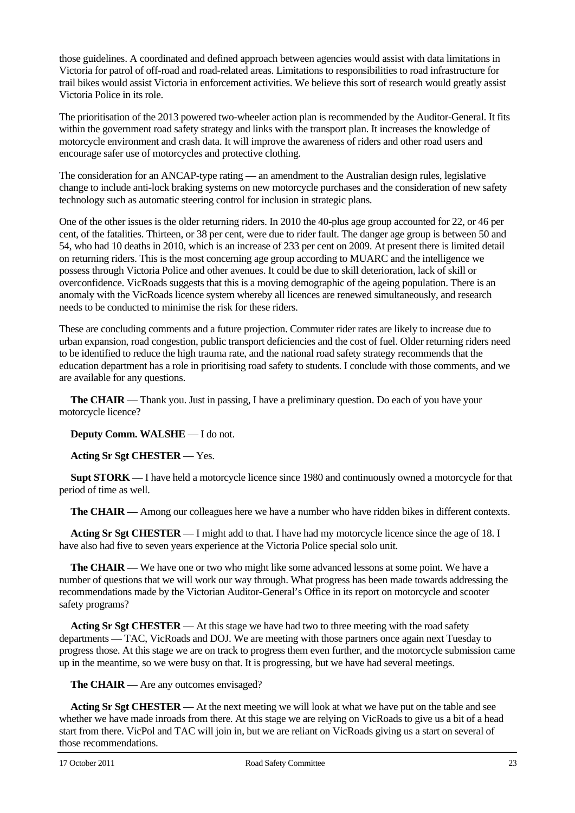those guidelines. A coordinated and defined approach between agencies would assist with data limitations in Victoria for patrol of off-road and road-related areas. Limitations to responsibilities to road infrastructure for trail bikes would assist Victoria in enforcement activities. We believe this sort of research would greatly assist Victoria Police in its role.

The prioritisation of the 2013 powered two-wheeler action plan is recommended by the Auditor-General. It fits within the government road safety strategy and links with the transport plan. It increases the knowledge of motorcycle environment and crash data. It will improve the awareness of riders and other road users and encourage safer use of motorcycles and protective clothing.

The consideration for an ANCAP-type rating — an amendment to the Australian design rules, legislative change to include anti-lock braking systems on new motorcycle purchases and the consideration of new safety technology such as automatic steering control for inclusion in strategic plans.

One of the other issues is the older returning riders. In 2010 the 40-plus age group accounted for 22, or 46 per cent, of the fatalities. Thirteen, or 38 per cent, were due to rider fault. The danger age group is between 50 and 54, who had 10 deaths in 2010, which is an increase of 233 per cent on 2009. At present there is limited detail on returning riders. This is the most concerning age group according to MUARC and the intelligence we possess through Victoria Police and other avenues. It could be due to skill deterioration, lack of skill or overconfidence. VicRoads suggests that this is a moving demographic of the ageing population. There is an anomaly with the VicRoads licence system whereby all licences are renewed simultaneously, and research needs to be conducted to minimise the risk for these riders.

These are concluding comments and a future projection. Commuter rider rates are likely to increase due to urban expansion, road congestion, public transport deficiencies and the cost of fuel. Older returning riders need to be identified to reduce the high trauma rate, and the national road safety strategy recommends that the education department has a role in prioritising road safety to students. I conclude with those comments, and we are available for any questions.

**The CHAIR** — Thank you. Just in passing, I have a preliminary question. Do each of you have your motorcycle licence?

**Deputy Comm. WALSHE** — I do not.

**Acting Sr Sgt CHESTER** — Yes.

**Supt STORK** — I have held a motorcycle licence since 1980 and continuously owned a motorcycle for that period of time as well.

**The CHAIR** — Among our colleagues here we have a number who have ridden bikes in different contexts.

**Acting Sr Sgt CHESTER** — I might add to that. I have had my motorcycle licence since the age of 18. I have also had five to seven years experience at the Victoria Police special solo unit.

**The CHAIR** — We have one or two who might like some advanced lessons at some point. We have a number of questions that we will work our way through. What progress has been made towards addressing the recommendations made by the Victorian Auditor-General's Office in its report on motorcycle and scooter safety programs?

**Acting Sr Sgt CHESTER** — At this stage we have had two to three meeting with the road safety departments — TAC, VicRoads and DOJ. We are meeting with those partners once again next Tuesday to progress those. At this stage we are on track to progress them even further, and the motorcycle submission came up in the meantime, so we were busy on that. It is progressing, but we have had several meetings.

**The CHAIR** — Are any outcomes envisaged?

**Acting Sr Sgt CHESTER** — At the next meeting we will look at what we have put on the table and see whether we have made inroads from there. At this stage we are relying on VicRoads to give us a bit of a head start from there. VicPol and TAC will join in, but we are reliant on VicRoads giving us a start on several of those recommendations.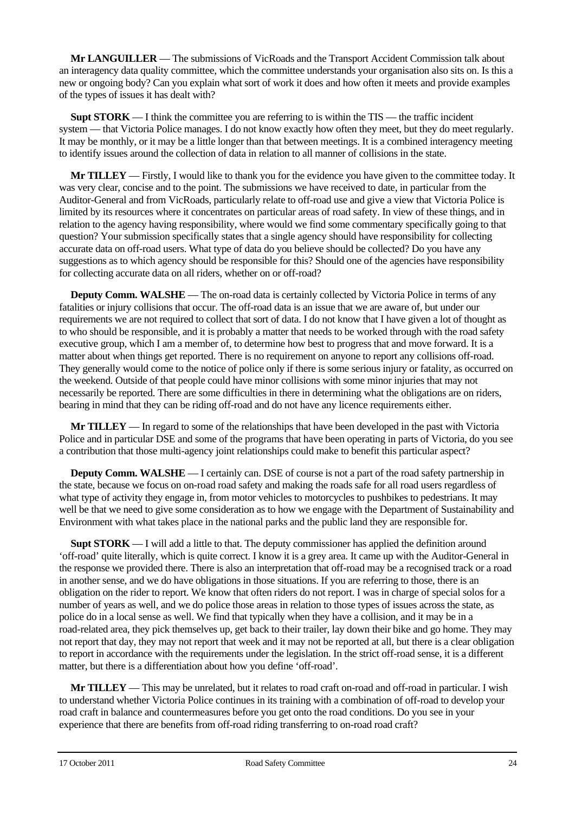**Mr LANGUILLER** — The submissions of VicRoads and the Transport Accident Commission talk about an interagency data quality committee, which the committee understands your organisation also sits on. Is this a new or ongoing body? Can you explain what sort of work it does and how often it meets and provide examples of the types of issues it has dealt with?

**Supt STORK** — I think the committee you are referring to is within the TIS — the traffic incident system — that Victoria Police manages. I do not know exactly how often they meet, but they do meet regularly. It may be monthly, or it may be a little longer than that between meetings. It is a combined interagency meeting to identify issues around the collection of data in relation to all manner of collisions in the state.

**Mr TILLEY** — Firstly, I would like to thank you for the evidence you have given to the committee today. It was very clear, concise and to the point. The submissions we have received to date, in particular from the Auditor-General and from VicRoads, particularly relate to off-road use and give a view that Victoria Police is limited by its resources where it concentrates on particular areas of road safety. In view of these things, and in relation to the agency having responsibility, where would we find some commentary specifically going to that question? Your submission specifically states that a single agency should have responsibility for collecting accurate data on off-road users. What type of data do you believe should be collected? Do you have any suggestions as to which agency should be responsible for this? Should one of the agencies have responsibility for collecting accurate data on all riders, whether on or off-road?

**Deputy Comm. WALSHE** — The on-road data is certainly collected by Victoria Police in terms of any fatalities or injury collisions that occur. The off-road data is an issue that we are aware of, but under our requirements we are not required to collect that sort of data. I do not know that I have given a lot of thought as to who should be responsible, and it is probably a matter that needs to be worked through with the road safety executive group, which I am a member of, to determine how best to progress that and move forward. It is a matter about when things get reported. There is no requirement on anyone to report any collisions off-road. They generally would come to the notice of police only if there is some serious injury or fatality, as occurred on the weekend. Outside of that people could have minor collisions with some minor injuries that may not necessarily be reported. There are some difficulties in there in determining what the obligations are on riders, bearing in mind that they can be riding off-road and do not have any licence requirements either.

**Mr TILLEY** — In regard to some of the relationships that have been developed in the past with Victoria Police and in particular DSE and some of the programs that have been operating in parts of Victoria, do you see a contribution that those multi-agency joint relationships could make to benefit this particular aspect?

**Deputy Comm. WALSHE** — I certainly can. DSE of course is not a part of the road safety partnership in the state, because we focus on on-road road safety and making the roads safe for all road users regardless of what type of activity they engage in, from motor vehicles to motorcycles to pushbikes to pedestrians. It may well be that we need to give some consideration as to how we engage with the Department of Sustainability and Environment with what takes place in the national parks and the public land they are responsible for.

**Supt STORK** — I will add a little to that. The deputy commissioner has applied the definition around 'off-road' quite literally, which is quite correct. I know it is a grey area. It came up with the Auditor-General in the response we provided there. There is also an interpretation that off-road may be a recognised track or a road in another sense, and we do have obligations in those situations. If you are referring to those, there is an obligation on the rider to report. We know that often riders do not report. I was in charge of special solos for a number of years as well, and we do police those areas in relation to those types of issues across the state, as police do in a local sense as well. We find that typically when they have a collision, and it may be in a road-related area, they pick themselves up, get back to their trailer, lay down their bike and go home. They may not report that day, they may not report that week and it may not be reported at all, but there is a clear obligation to report in accordance with the requirements under the legislation. In the strict off-road sense, it is a different matter, but there is a differentiation about how you define 'off-road'.

**Mr TILLEY** — This may be unrelated, but it relates to road craft on-road and off-road in particular. I wish to understand whether Victoria Police continues in its training with a combination of off-road to develop your road craft in balance and countermeasures before you get onto the road conditions. Do you see in your experience that there are benefits from off-road riding transferring to on-road road craft?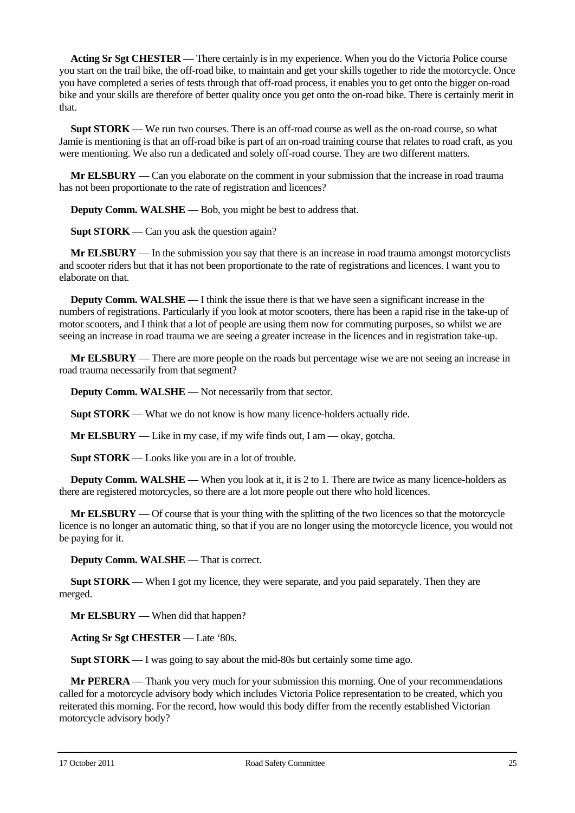**Acting Sr Sgt CHESTER** — There certainly is in my experience. When you do the Victoria Police course you start on the trail bike, the off-road bike, to maintain and get your skills together to ride the motorcycle. Once you have completed a series of tests through that off-road process, it enables you to get onto the bigger on-road bike and your skills are therefore of better quality once you get onto the on-road bike. There is certainly merit in that.

**Supt STORK** — We run two courses. There is an off-road course as well as the on-road course, so what Jamie is mentioning is that an off-road bike is part of an on-road training course that relates to road craft, as you were mentioning. We also run a dedicated and solely off-road course. They are two different matters.

**Mr ELSBURY** — Can you elaborate on the comment in your submission that the increase in road trauma has not been proportionate to the rate of registration and licences?

**Deputy Comm. WALSHE** — Bob, you might be best to address that.

**Supt STORK** — Can you ask the question again?

**Mr ELSBURY** — In the submission you say that there is an increase in road trauma amongst motorcyclists and scooter riders but that it has not been proportionate to the rate of registrations and licences. I want you to elaborate on that.

**Deputy Comm. WALSHE** — I think the issue there is that we have seen a significant increase in the numbers of registrations. Particularly if you look at motor scooters, there has been a rapid rise in the take-up of motor scooters, and I think that a lot of people are using them now for commuting purposes, so whilst we are seeing an increase in road trauma we are seeing a greater increase in the licences and in registration take-up.

**Mr ELSBURY** — There are more people on the roads but percentage wise we are not seeing an increase in road trauma necessarily from that segment?

**Deputy Comm. WALSHE** — Not necessarily from that sector.

**Supt STORK** — What we do not know is how many licence-holders actually ride.

**Mr ELSBURY** — Like in my case, if my wife finds out, I am — okay, gotcha.

**Supt STORK** — Looks like you are in a lot of trouble.

**Deputy Comm. WALSHE** — When you look at it, it is 2 to 1. There are twice as many licence-holders as there are registered motorcycles, so there are a lot more people out there who hold licences.

**Mr ELSBURY** — Of course that is your thing with the splitting of the two licences so that the motorcycle licence is no longer an automatic thing, so that if you are no longer using the motorcycle licence, you would not be paying for it.

**Deputy Comm. WALSHE** — That is correct.

**Supt STORK** — When I got my licence, they were separate, and you paid separately. Then they are merged.

**Mr ELSBURY** — When did that happen?

**Acting Sr Sgt CHESTER** — Late '80s.

**Supt STORK** — I was going to say about the mid-80s but certainly some time ago.

**Mr PERERA** — Thank you very much for your submission this morning. One of your recommendations called for a motorcycle advisory body which includes Victoria Police representation to be created, which you reiterated this morning. For the record, how would this body differ from the recently established Victorian motorcycle advisory body?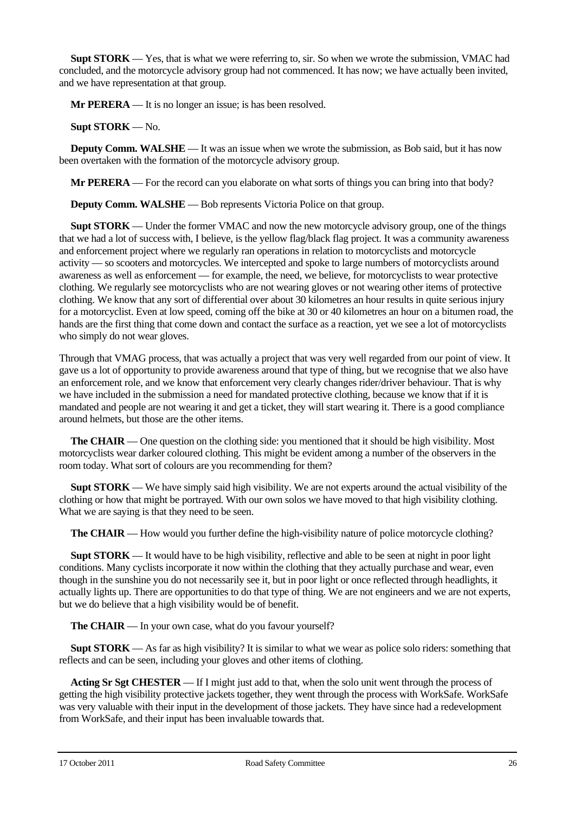**Supt STORK** — Yes, that is what we were referring to, sir. So when we wrote the submission, VMAC had concluded, and the motorcycle advisory group had not commenced. It has now; we have actually been invited, and we have representation at that group.

**Mr PERERA** — It is no longer an issue; is has been resolved.

**Supt STORK** — No.

**Deputy Comm. WALSHE** — It was an issue when we wrote the submission, as Bob said, but it has now been overtaken with the formation of the motorcycle advisory group.

**Mr PERERA** — For the record can you elaborate on what sorts of things you can bring into that body?

**Deputy Comm. WALSHE** — Bob represents Victoria Police on that group.

**Supt STORK** — Under the former VMAC and now the new motorcycle advisory group, one of the things that we had a lot of success with, I believe, is the yellow flag/black flag project. It was a community awareness and enforcement project where we regularly ran operations in relation to motorcyclists and motorcycle activity — so scooters and motorcycles. We intercepted and spoke to large numbers of motorcyclists around awareness as well as enforcement — for example, the need, we believe, for motorcyclists to wear protective clothing. We regularly see motorcyclists who are not wearing gloves or not wearing other items of protective clothing. We know that any sort of differential over about 30 kilometres an hour results in quite serious injury for a motorcyclist. Even at low speed, coming off the bike at 30 or 40 kilometres an hour on a bitumen road, the hands are the first thing that come down and contact the surface as a reaction, yet we see a lot of motorcyclists who simply do not wear gloves.

Through that VMAG process, that was actually a project that was very well regarded from our point of view. It gave us a lot of opportunity to provide awareness around that type of thing, but we recognise that we also have an enforcement role, and we know that enforcement very clearly changes rider/driver behaviour. That is why we have included in the submission a need for mandated protective clothing, because we know that if it is mandated and people are not wearing it and get a ticket, they will start wearing it. There is a good compliance around helmets, but those are the other items.

**The CHAIR** — One question on the clothing side: you mentioned that it should be high visibility. Most motorcyclists wear darker coloured clothing. This might be evident among a number of the observers in the room today. What sort of colours are you recommending for them?

**Supt STORK** — We have simply said high visibility. We are not experts around the actual visibility of the clothing or how that might be portrayed. With our own solos we have moved to that high visibility clothing. What we are saying is that they need to be seen.

**The CHAIR** — How would you further define the high-visibility nature of police motorcycle clothing?

**Supt STORK** — It would have to be high visibility, reflective and able to be seen at night in poor light conditions. Many cyclists incorporate it now within the clothing that they actually purchase and wear, even though in the sunshine you do not necessarily see it, but in poor light or once reflected through headlights, it actually lights up. There are opportunities to do that type of thing. We are not engineers and we are not experts, but we do believe that a high visibility would be of benefit.

**The CHAIR** — In your own case, what do you favour yourself?

**Supt STORK** — As far as high visibility? It is similar to what we wear as police solo riders: something that reflects and can be seen, including your gloves and other items of clothing.

**Acting Sr Sgt CHESTER** — If I might just add to that, when the solo unit went through the process of getting the high visibility protective jackets together, they went through the process with WorkSafe. WorkSafe was very valuable with their input in the development of those jackets. They have since had a redevelopment from WorkSafe, and their input has been invaluable towards that.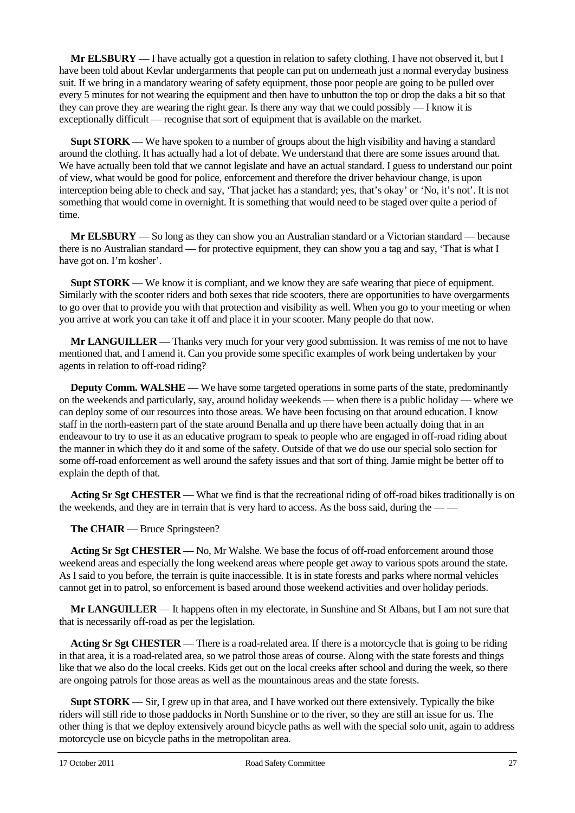**Mr ELSBURY** — I have actually got a question in relation to safety clothing. I have not observed it, but I have been told about Kevlar undergarments that people can put on underneath just a normal everyday business suit. If we bring in a mandatory wearing of safety equipment, those poor people are going to be pulled over every 5 minutes for not wearing the equipment and then have to unbutton the top or drop the daks a bit so that they can prove they are wearing the right gear. Is there any way that we could possibly — I know it is exceptionally difficult — recognise that sort of equipment that is available on the market.

**Supt STORK** — We have spoken to a number of groups about the high visibility and having a standard around the clothing. It has actually had a lot of debate. We understand that there are some issues around that. We have actually been told that we cannot legislate and have an actual standard. I guess to understand our point of view, what would be good for police, enforcement and therefore the driver behaviour change, is upon interception being able to check and say, 'That jacket has a standard; yes, that's okay' or 'No, it's not'. It is not something that would come in overnight. It is something that would need to be staged over quite a period of time.

**Mr ELSBURY** — So long as they can show you an Australian standard or a Victorian standard — because there is no Australian standard — for protective equipment, they can show you a tag and say, 'That is what I have got on. I'm kosher'.

**Supt STORK** — We know it is compliant, and we know they are safe wearing that piece of equipment. Similarly with the scooter riders and both sexes that ride scooters, there are opportunities to have overgarments to go over that to provide you with that protection and visibility as well. When you go to your meeting or when you arrive at work you can take it off and place it in your scooter. Many people do that now.

**Mr LANGUILLER** — Thanks very much for your very good submission. It was remiss of me not to have mentioned that, and I amend it. Can you provide some specific examples of work being undertaken by your agents in relation to off-road riding?

**Deputy Comm. WALSHE** — We have some targeted operations in some parts of the state, predominantly on the weekends and particularly, say, around holiday weekends — when there is a public holiday — where we can deploy some of our resources into those areas. We have been focusing on that around education. I know staff in the north-eastern part of the state around Benalla and up there have been actually doing that in an endeavour to try to use it as an educative program to speak to people who are engaged in off-road riding about the manner in which they do it and some of the safety. Outside of that we do use our special solo section for some off-road enforcement as well around the safety issues and that sort of thing. Jamie might be better off to explain the depth of that.

**Acting Sr Sgt CHESTER** — What we find is that the recreational riding of off-road bikes traditionally is on the weekends, and they are in terrain that is very hard to access. As the boss said, during the -

#### **The CHAIR** — Bruce Springsteen?

**Acting Sr Sgt CHESTER** — No, Mr Walshe. We base the focus of off-road enforcement around those weekend areas and especially the long weekend areas where people get away to various spots around the state. As I said to you before, the terrain is quite inaccessible. It is in state forests and parks where normal vehicles cannot get in to patrol, so enforcement is based around those weekend activities and over holiday periods.

**Mr LANGUILLER** — It happens often in my electorate, in Sunshine and St Albans, but I am not sure that that is necessarily off-road as per the legislation.

**Acting Sr Sgt CHESTER** — There is a road-related area. If there is a motorcycle that is going to be riding in that area, it is a road-related area, so we patrol those areas of course. Along with the state forests and things like that we also do the local creeks. Kids get out on the local creeks after school and during the week, so there are ongoing patrols for those areas as well as the mountainous areas and the state forests.

**Supt STORK** — Sir, I grew up in that area, and I have worked out there extensively. Typically the bike riders will still ride to those paddocks in North Sunshine or to the river, so they are still an issue for us. The other thing is that we deploy extensively around bicycle paths as well with the special solo unit, again to address motorcycle use on bicycle paths in the metropolitan area.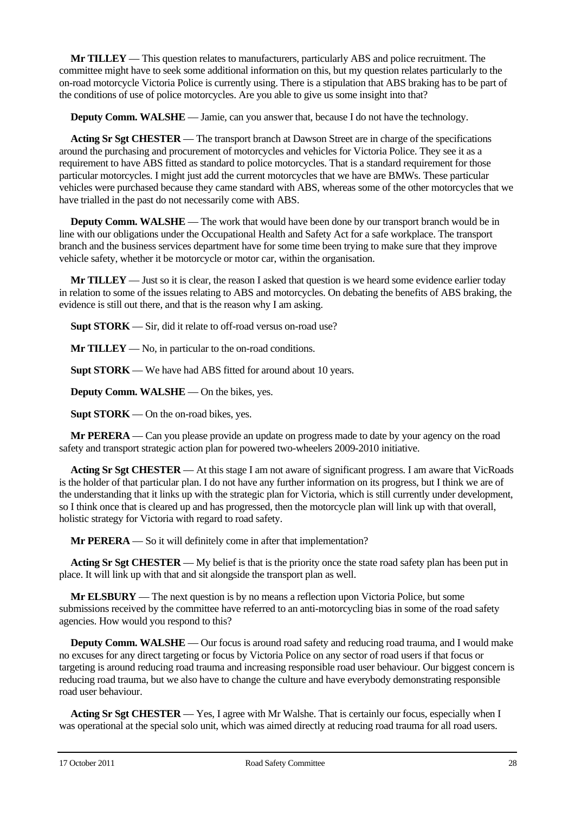**Mr TILLEY** — This question relates to manufacturers, particularly ABS and police recruitment. The committee might have to seek some additional information on this, but my question relates particularly to the on-road motorcycle Victoria Police is currently using. There is a stipulation that ABS braking has to be part of the conditions of use of police motorcycles. Are you able to give us some insight into that?

**Deputy Comm. WALSHE** — Jamie, can you answer that, because I do not have the technology.

**Acting Sr Sgt CHESTER** — The transport branch at Dawson Street are in charge of the specifications around the purchasing and procurement of motorcycles and vehicles for Victoria Police. They see it as a requirement to have ABS fitted as standard to police motorcycles. That is a standard requirement for those particular motorcycles. I might just add the current motorcycles that we have are BMWs. These particular vehicles were purchased because they came standard with ABS, whereas some of the other motorcycles that we have trialled in the past do not necessarily come with ABS.

**Deputy Comm. WALSHE** — The work that would have been done by our transport branch would be in line with our obligations under the Occupational Health and Safety Act for a safe workplace. The transport branch and the business services department have for some time been trying to make sure that they improve vehicle safety, whether it be motorcycle or motor car, within the organisation.

**Mr TILLEY** — Just so it is clear, the reason I asked that question is we heard some evidence earlier today in relation to some of the issues relating to ABS and motorcycles. On debating the benefits of ABS braking, the evidence is still out there, and that is the reason why I am asking.

**Supt STORK** — Sir, did it relate to off-road versus on-road use?

**Mr TILLEY** — No, in particular to the on-road conditions.

**Supt STORK** — We have had ABS fitted for around about 10 years.

**Deputy Comm. WALSHE** — On the bikes, yes.

**Supt STORK** — On the on-road bikes, yes.

**Mr PERERA** — Can you please provide an update on progress made to date by your agency on the road safety and transport strategic action plan for powered two-wheelers 2009-2010 initiative.

**Acting Sr Sgt CHESTER** — At this stage I am not aware of significant progress. I am aware that VicRoads is the holder of that particular plan. I do not have any further information on its progress, but I think we are of the understanding that it links up with the strategic plan for Victoria, which is still currently under development, so I think once that is cleared up and has progressed, then the motorcycle plan will link up with that overall, holistic strategy for Victoria with regard to road safety.

**Mr PERERA** — So it will definitely come in after that implementation?

**Acting Sr Sgt CHESTER** — My belief is that is the priority once the state road safety plan has been put in place. It will link up with that and sit alongside the transport plan as well.

**Mr ELSBURY** — The next question is by no means a reflection upon Victoria Police, but some submissions received by the committee have referred to an anti-motorcycling bias in some of the road safety agencies. How would you respond to this?

**Deputy Comm. WALSHE** — Our focus is around road safety and reducing road trauma, and I would make no excuses for any direct targeting or focus by Victoria Police on any sector of road users if that focus or targeting is around reducing road trauma and increasing responsible road user behaviour. Our biggest concern is reducing road trauma, but we also have to change the culture and have everybody demonstrating responsible road user behaviour.

**Acting Sr Sgt CHESTER** — Yes, I agree with Mr Walshe. That is certainly our focus, especially when I was operational at the special solo unit, which was aimed directly at reducing road trauma for all road users.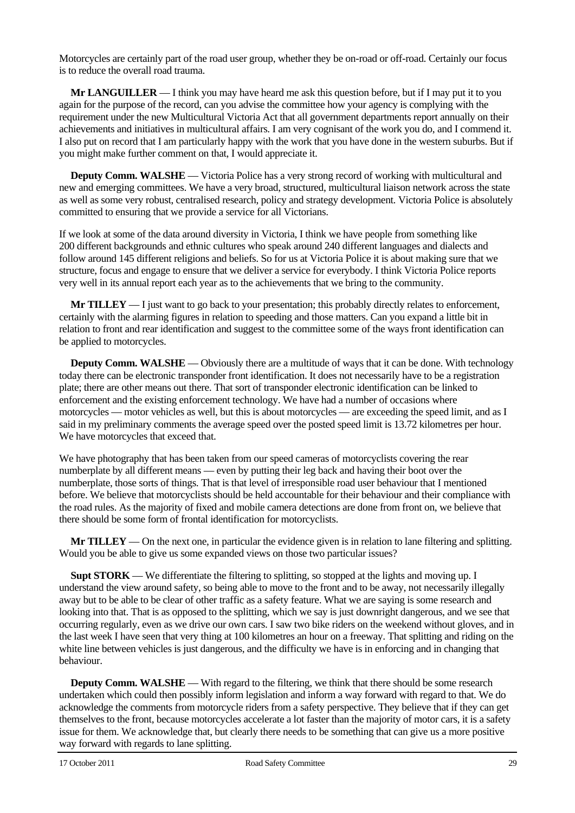Motorcycles are certainly part of the road user group, whether they be on-road or off-road. Certainly our focus is to reduce the overall road trauma.

**Mr LANGUILLER** — I think you may have heard me ask this question before, but if I may put it to you again for the purpose of the record, can you advise the committee how your agency is complying with the requirement under the new Multicultural Victoria Act that all government departments report annually on their achievements and initiatives in multicultural affairs. I am very cognisant of the work you do, and I commend it. I also put on record that I am particularly happy with the work that you have done in the western suburbs. But if you might make further comment on that, I would appreciate it.

**Deputy Comm. WALSHE** — Victoria Police has a very strong record of working with multicultural and new and emerging committees. We have a very broad, structured, multicultural liaison network across the state as well as some very robust, centralised research, policy and strategy development. Victoria Police is absolutely committed to ensuring that we provide a service for all Victorians.

If we look at some of the data around diversity in Victoria, I think we have people from something like 200 different backgrounds and ethnic cultures who speak around 240 different languages and dialects and follow around 145 different religions and beliefs. So for us at Victoria Police it is about making sure that we structure, focus and engage to ensure that we deliver a service for everybody. I think Victoria Police reports very well in its annual report each year as to the achievements that we bring to the community.

**Mr TILLEY** — I just want to go back to your presentation; this probably directly relates to enforcement, certainly with the alarming figures in relation to speeding and those matters. Can you expand a little bit in relation to front and rear identification and suggest to the committee some of the ways front identification can be applied to motorcycles.

**Deputy Comm. WALSHE** — Obviously there are a multitude of ways that it can be done. With technology today there can be electronic transponder front identification. It does not necessarily have to be a registration plate; there are other means out there. That sort of transponder electronic identification can be linked to enforcement and the existing enforcement technology. We have had a number of occasions where motorcycles — motor vehicles as well, but this is about motorcycles — are exceeding the speed limit, and as I said in my preliminary comments the average speed over the posted speed limit is 13.72 kilometres per hour. We have motorcycles that exceed that.

We have photography that has been taken from our speed cameras of motorcyclists covering the rear numberplate by all different means — even by putting their leg back and having their boot over the numberplate, those sorts of things. That is that level of irresponsible road user behaviour that I mentioned before. We believe that motorcyclists should be held accountable for their behaviour and their compliance with the road rules. As the majority of fixed and mobile camera detections are done from front on, we believe that there should be some form of frontal identification for motorcyclists.

**Mr TILLEY** — On the next one, in particular the evidence given is in relation to lane filtering and splitting. Would you be able to give us some expanded views on those two particular issues?

**Supt STORK** — We differentiate the filtering to splitting, so stopped at the lights and moving up. I understand the view around safety, so being able to move to the front and to be away, not necessarily illegally away but to be able to be clear of other traffic as a safety feature. What we are saying is some research and looking into that. That is as opposed to the splitting, which we say is just downright dangerous, and we see that occurring regularly, even as we drive our own cars. I saw two bike riders on the weekend without gloves, and in the last week I have seen that very thing at 100 kilometres an hour on a freeway. That splitting and riding on the white line between vehicles is just dangerous, and the difficulty we have is in enforcing and in changing that behaviour.

**Deputy Comm. WALSHE** — With regard to the filtering, we think that there should be some research undertaken which could then possibly inform legislation and inform a way forward with regard to that. We do acknowledge the comments from motorcycle riders from a safety perspective. They believe that if they can get themselves to the front, because motorcycles accelerate a lot faster than the majority of motor cars, it is a safety issue for them. We acknowledge that, but clearly there needs to be something that can give us a more positive way forward with regards to lane splitting.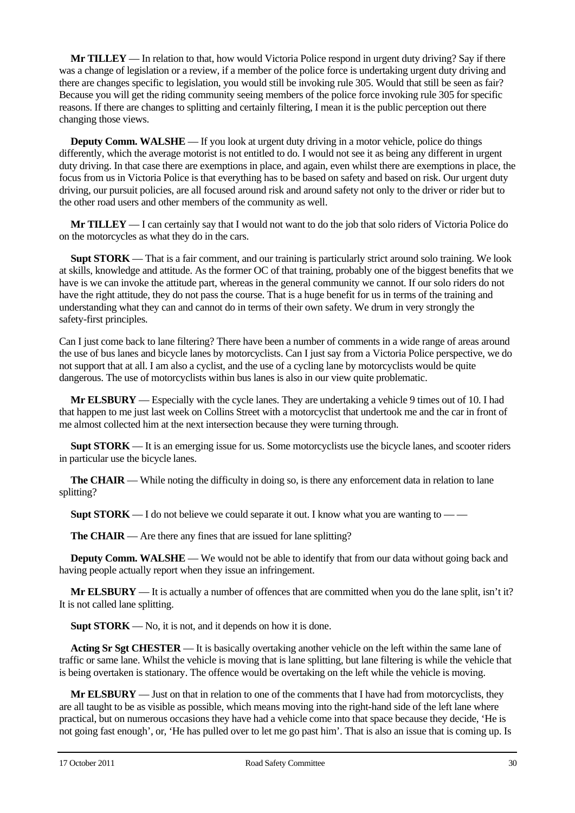**Mr TILLEY** — In relation to that, how would Victoria Police respond in urgent duty driving? Say if there was a change of legislation or a review, if a member of the police force is undertaking urgent duty driving and there are changes specific to legislation, you would still be invoking rule 305. Would that still be seen as fair? Because you will get the riding community seeing members of the police force invoking rule 305 for specific reasons. If there are changes to splitting and certainly filtering, I mean it is the public perception out there changing those views.

**Deputy Comm. WALSHE** — If you look at urgent duty driving in a motor vehicle, police do things differently, which the average motorist is not entitled to do. I would not see it as being any different in urgent duty driving. In that case there are exemptions in place, and again, even whilst there are exemptions in place, the focus from us in Victoria Police is that everything has to be based on safety and based on risk. Our urgent duty driving, our pursuit policies, are all focused around risk and around safety not only to the driver or rider but to the other road users and other members of the community as well.

**Mr TILLEY** — I can certainly say that I would not want to do the job that solo riders of Victoria Police do on the motorcycles as what they do in the cars.

**Supt STORK** — That is a fair comment, and our training is particularly strict around solo training. We look at skills, knowledge and attitude. As the former OC of that training, probably one of the biggest benefits that we have is we can invoke the attitude part, whereas in the general community we cannot. If our solo riders do not have the right attitude, they do not pass the course. That is a huge benefit for us in terms of the training and understanding what they can and cannot do in terms of their own safety. We drum in very strongly the safety-first principles.

Can I just come back to lane filtering? There have been a number of comments in a wide range of areas around the use of bus lanes and bicycle lanes by motorcyclists. Can I just say from a Victoria Police perspective, we do not support that at all. I am also a cyclist, and the use of a cycling lane by motorcyclists would be quite dangerous. The use of motorcyclists within bus lanes is also in our view quite problematic.

**Mr ELSBURY** — Especially with the cycle lanes. They are undertaking a vehicle 9 times out of 10. I had that happen to me just last week on Collins Street with a motorcyclist that undertook me and the car in front of me almost collected him at the next intersection because they were turning through.

**Supt STORK** — It is an emerging issue for us. Some motorcyclists use the bicycle lanes, and scooter riders in particular use the bicycle lanes.

**The CHAIR** — While noting the difficulty in doing so, is there any enforcement data in relation to lane splitting?

**Supt STORK** — I do not believe we could separate it out. I know what you are wanting to — —

**The CHAIR** — Are there any fines that are issued for lane splitting?

**Deputy Comm. WALSHE** — We would not be able to identify that from our data without going back and having people actually report when they issue an infringement.

**Mr ELSBURY** — It is actually a number of offences that are committed when you do the lane split, isn't it? It is not called lane splitting.

**Supt STORK** — No, it is not, and it depends on how it is done.

**Acting Sr Sgt CHESTER** — It is basically overtaking another vehicle on the left within the same lane of traffic or same lane. Whilst the vehicle is moving that is lane splitting, but lane filtering is while the vehicle that is being overtaken is stationary. The offence would be overtaking on the left while the vehicle is moving.

**Mr ELSBURY** — Just on that in relation to one of the comments that I have had from motorcyclists, they are all taught to be as visible as possible, which means moving into the right-hand side of the left lane where practical, but on numerous occasions they have had a vehicle come into that space because they decide, 'He is not going fast enough', or, 'He has pulled over to let me go past him'. That is also an issue that is coming up. Is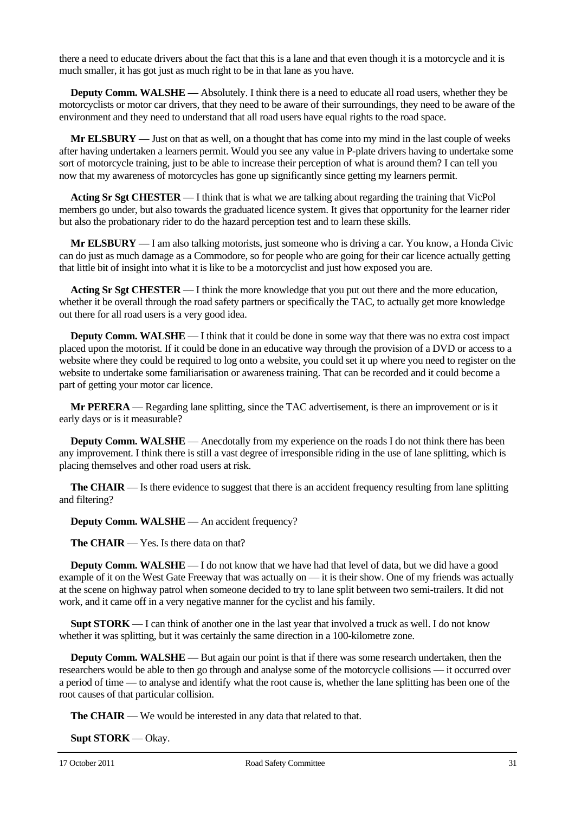there a need to educate drivers about the fact that this is a lane and that even though it is a motorcycle and it is much smaller, it has got just as much right to be in that lane as you have.

**Deputy Comm. WALSHE** — Absolutely. I think there is a need to educate all road users, whether they be motorcyclists or motor car drivers, that they need to be aware of their surroundings, they need to be aware of the environment and they need to understand that all road users have equal rights to the road space.

**Mr ELSBURY** — Just on that as well, on a thought that has come into my mind in the last couple of weeks after having undertaken a learners permit. Would you see any value in P-plate drivers having to undertake some sort of motorcycle training, just to be able to increase their perception of what is around them? I can tell you now that my awareness of motorcycles has gone up significantly since getting my learners permit.

**Acting Sr Sgt CHESTER** — I think that is what we are talking about regarding the training that VicPol members go under, but also towards the graduated licence system. It gives that opportunity for the learner rider but also the probationary rider to do the hazard perception test and to learn these skills.

**Mr ELSBURY** — I am also talking motorists, just someone who is driving a car. You know, a Honda Civic can do just as much damage as a Commodore, so for people who are going for their car licence actually getting that little bit of insight into what it is like to be a motorcyclist and just how exposed you are.

**Acting Sr Sgt CHESTER** — I think the more knowledge that you put out there and the more education, whether it be overall through the road safety partners or specifically the TAC, to actually get more knowledge out there for all road users is a very good idea.

**Deputy Comm. WALSHE** — I think that it could be done in some way that there was no extra cost impact placed upon the motorist. If it could be done in an educative way through the provision of a DVD or access to a website where they could be required to log onto a website, you could set it up where you need to register on the website to undertake some familiarisation or awareness training. That can be recorded and it could become a part of getting your motor car licence.

**Mr PERERA** — Regarding lane splitting, since the TAC advertisement, is there an improvement or is it early days or is it measurable?

**Deputy Comm. WALSHE** — Anecdotally from my experience on the roads I do not think there has been any improvement. I think there is still a vast degree of irresponsible riding in the use of lane splitting, which is placing themselves and other road users at risk.

**The CHAIR** — Is there evidence to suggest that there is an accident frequency resulting from lane splitting and filtering?

**Deputy Comm. WALSHE** — An accident frequency?

**The CHAIR** — Yes. Is there data on that?

**Deputy Comm. WALSHE** — I do not know that we have had that level of data, but we did have a good example of it on the West Gate Freeway that was actually on — it is their show. One of my friends was actually at the scene on highway patrol when someone decided to try to lane split between two semi-trailers. It did not work, and it came off in a very negative manner for the cyclist and his family.

**Supt STORK** — I can think of another one in the last year that involved a truck as well. I do not know whether it was splitting, but it was certainly the same direction in a 100-kilometre zone.

**Deputy Comm. WALSHE** — But again our point is that if there was some research undertaken, then the researchers would be able to then go through and analyse some of the motorcycle collisions — it occurred over a period of time — to analyse and identify what the root cause is, whether the lane splitting has been one of the root causes of that particular collision.

**The CHAIR** — We would be interested in any data that related to that.

**Supt STORK** — Okay.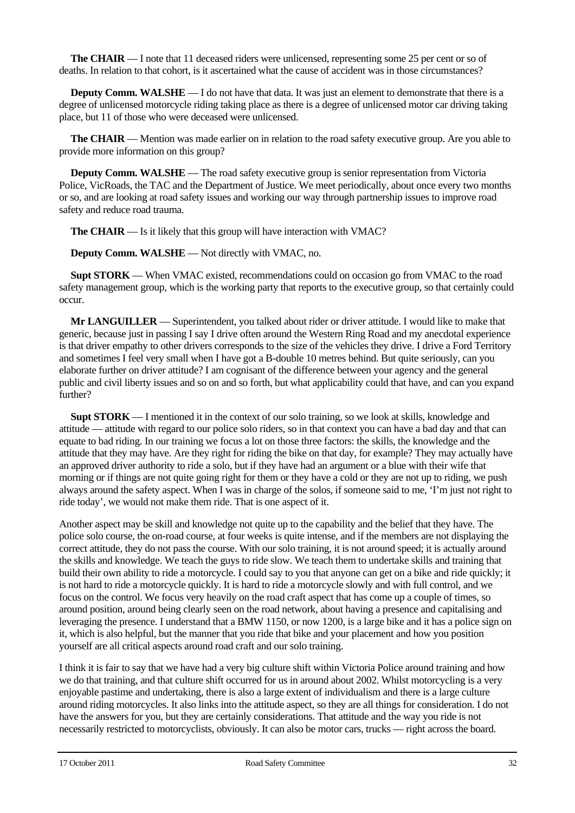**The CHAIR** — I note that 11 deceased riders were unlicensed, representing some 25 per cent or so of deaths. In relation to that cohort, is it ascertained what the cause of accident was in those circumstances?

**Deputy Comm. WALSHE** — I do not have that data. It was just an element to demonstrate that there is a degree of unlicensed motorcycle riding taking place as there is a degree of unlicensed motor car driving taking place, but 11 of those who were deceased were unlicensed.

**The CHAIR** — Mention was made earlier on in relation to the road safety executive group. Are you able to provide more information on this group?

**Deputy Comm. WALSHE** — The road safety executive group is senior representation from Victoria Police, VicRoads, the TAC and the Department of Justice. We meet periodically, about once every two months or so, and are looking at road safety issues and working our way through partnership issues to improve road safety and reduce road trauma.

**The CHAIR** — Is it likely that this group will have interaction with VMAC?

**Deputy Comm. WALSHE** — Not directly with VMAC, no.

**Supt STORK** — When VMAC existed, recommendations could on occasion go from VMAC to the road safety management group, which is the working party that reports to the executive group, so that certainly could occur.

**Mr LANGUILLER** — Superintendent, you talked about rider or driver attitude. I would like to make that generic, because just in passing I say I drive often around the Western Ring Road and my anecdotal experience is that driver empathy to other drivers corresponds to the size of the vehicles they drive. I drive a Ford Territory and sometimes I feel very small when I have got a B-double 10 metres behind. But quite seriously, can you elaborate further on driver attitude? I am cognisant of the difference between your agency and the general public and civil liberty issues and so on and so forth, but what applicability could that have, and can you expand further?

**Supt STORK** — I mentioned it in the context of our solo training, so we look at skills, knowledge and attitude — attitude with regard to our police solo riders, so in that context you can have a bad day and that can equate to bad riding. In our training we focus a lot on those three factors: the skills, the knowledge and the attitude that they may have. Are they right for riding the bike on that day, for example? They may actually have an approved driver authority to ride a solo, but if they have had an argument or a blue with their wife that morning or if things are not quite going right for them or they have a cold or they are not up to riding, we push always around the safety aspect. When I was in charge of the solos, if someone said to me, 'I'm just not right to ride today', we would not make them ride. That is one aspect of it.

Another aspect may be skill and knowledge not quite up to the capability and the belief that they have. The police solo course, the on-road course, at four weeks is quite intense, and if the members are not displaying the correct attitude, they do not pass the course. With our solo training, it is not around speed; it is actually around the skills and knowledge. We teach the guys to ride slow. We teach them to undertake skills and training that build their own ability to ride a motorcycle. I could say to you that anyone can get on a bike and ride quickly; it is not hard to ride a motorcycle quickly. It is hard to ride a motorcycle slowly and with full control, and we focus on the control. We focus very heavily on the road craft aspect that has come up a couple of times, so around position, around being clearly seen on the road network, about having a presence and capitalising and leveraging the presence. I understand that a BMW 1150, or now 1200, is a large bike and it has a police sign on it, which is also helpful, but the manner that you ride that bike and your placement and how you position yourself are all critical aspects around road craft and our solo training.

I think it is fair to say that we have had a very big culture shift within Victoria Police around training and how we do that training, and that culture shift occurred for us in around about 2002. Whilst motorcycling is a very enjoyable pastime and undertaking, there is also a large extent of individualism and there is a large culture around riding motorcycles. It also links into the attitude aspect, so they are all things for consideration. I do not have the answers for you, but they are certainly considerations. That attitude and the way you ride is not necessarily restricted to motorcyclists, obviously. It can also be motor cars, trucks — right across the board.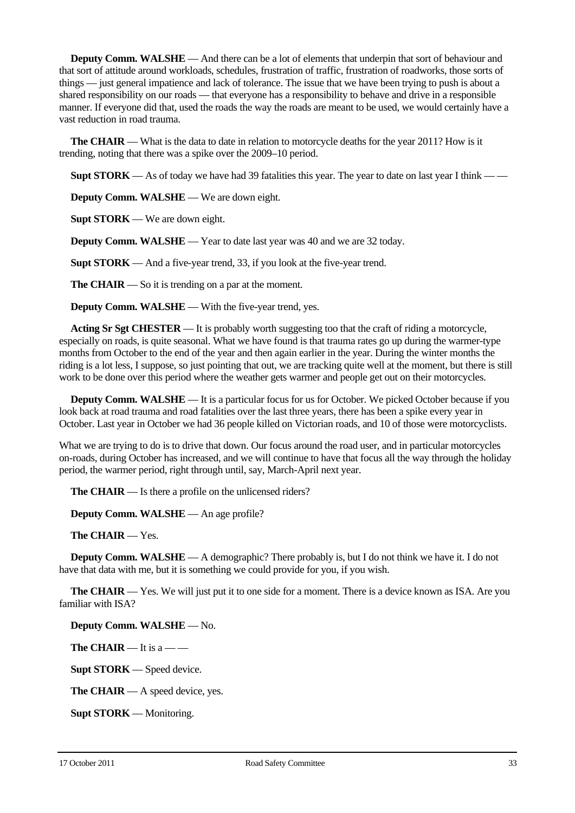**Deputy Comm. WALSHE** — And there can be a lot of elements that underpin that sort of behaviour and that sort of attitude around workloads, schedules, frustration of traffic, frustration of roadworks, those sorts of things — just general impatience and lack of tolerance. The issue that we have been trying to push is about a shared responsibility on our roads — that everyone has a responsibility to behave and drive in a responsible manner. If everyone did that, used the roads the way the roads are meant to be used, we would certainly have a vast reduction in road trauma.

**The CHAIR** — What is the data to date in relation to motorcycle deaths for the year 2011? How is it trending, noting that there was a spike over the 2009–10 period.

**Supt STORK** — As of today we have had 39 fatalities this year. The year to date on last year I think — —

**Deputy Comm. WALSHE** — We are down eight.

**Supt STORK** — We are down eight.

**Deputy Comm. WALSHE** — Year to date last year was 40 and we are 32 today.

**Supt STORK** — And a five-year trend, 33, if you look at the five-year trend.

**The CHAIR** — So it is trending on a par at the moment.

**Deputy Comm. WALSHE** — With the five-year trend, yes.

**Acting Sr Sgt CHESTER** — It is probably worth suggesting too that the craft of riding a motorcycle, especially on roads, is quite seasonal. What we have found is that trauma rates go up during the warmer-type months from October to the end of the year and then again earlier in the year. During the winter months the riding is a lot less, I suppose, so just pointing that out, we are tracking quite well at the moment, but there is still work to be done over this period where the weather gets warmer and people get out on their motorcycles.

**Deputy Comm. WALSHE** — It is a particular focus for us for October. We picked October because if you look back at road trauma and road fatalities over the last three years, there has been a spike every year in October. Last year in October we had 36 people killed on Victorian roads, and 10 of those were motorcyclists.

What we are trying to do is to drive that down. Our focus around the road user, and in particular motorcycles on-roads, during October has increased, and we will continue to have that focus all the way through the holiday period, the warmer period, right through until, say, March-April next year.

**The CHAIR** — Is there a profile on the unlicensed riders?

**Deputy Comm. WALSHE** — An age profile?

**The CHAIR** — Yes.

**Deputy Comm. WALSHE** — A demographic? There probably is, but I do not think we have it. I do not have that data with me, but it is something we could provide for you, if you wish.

**The CHAIR** — Yes. We will just put it to one side for a moment. There is a device known as ISA. Are you familiar with ISA?

**Deputy Comm. WALSHE** — No.

**The CHAIR** — It is a — —

**Supt STORK** — Speed device.

**The CHAIR** — A speed device, yes.

**Supt STORK** — Monitoring.